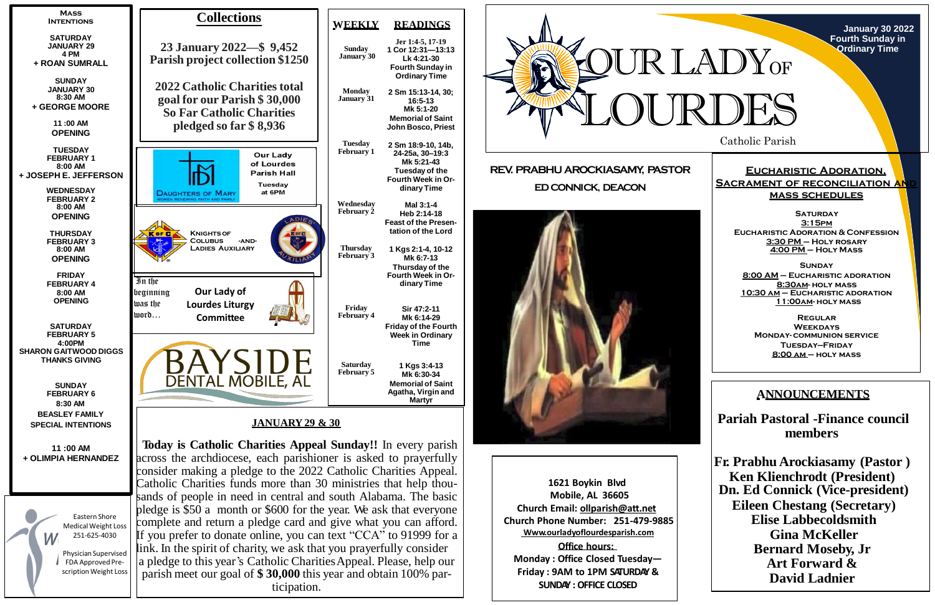Catholic Parish

**January 30 2022 Fourth Sunday in Ordinary Time**

# **Eucharistic Adoration, SACRAMENT OF RECONCILIATION AN mass schedules**

**SATURDAY 3:15pm Eucharistic Adoration & Confession 3:30 PM – Holy rosary 4:00 PM – Holy Mass**

**Sunday 8:00 AM – Eucharistic adoration 8:30am- holy mass 10:30 am – Eucharistic adoration 11:00am- holy mass**

**Regular Weekdays Monday- communion service Tuesday—Friday 8:00 am – holy mass**

**REV. PRABHU AROCKIASAMY, PASTOR ED CONNICK, DEACON**



**1621 Boykin Blvd Mobile, AL 36605 Church Email: [ollparish@att.net](mailto:ollparish@att.net) Church Phone Number: 251-479-9885 Www.ourladyoflourdesparish.com Office hours:**

**Monday : Office Closed Tuesday— Friday : 9AM to 1PM SATURDAY & SUNDAY : OFFICE CLOSED**





LOURDES LADY<sub>OF</sub>

# **ANNOUNCEMENTS**

**Pariah Pastoral -Finance council members**

**Fr. Prabhu Arockiasamy (Pastor ) Ken Klienchrodt (President) Dn. Ed Connick (Vice-president) Eileen Chestang (Secretary) Elise Labbecoldsmith Gina McKeller Bernard Moseby, Jr Art Forward & David Ladnier**